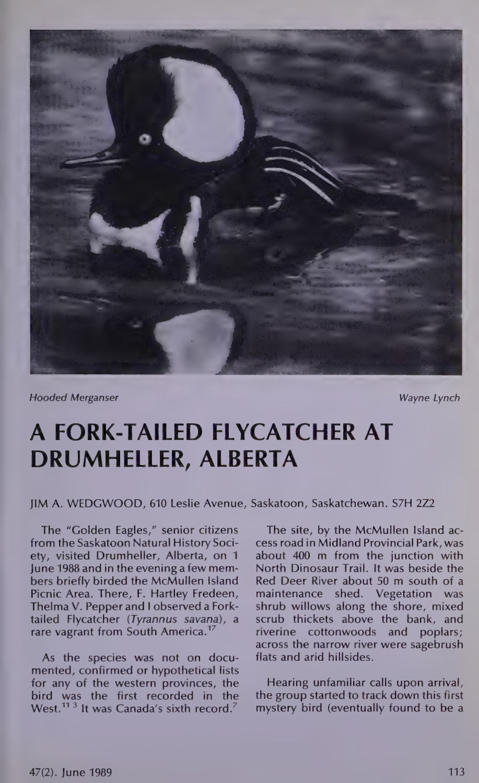

**Hooded Merganser Wayne Lynch Communist Service Communist Service Communist Service Communist Service Communist Service Communist Service Communist Service Communist Service Communist Service Communist Service Communist Se** 

## A FORK-TAILED FLYCATCHER AT DRUMHELLER, ALBERTA

JIM A. WEDGWOOD, 610 Leslie Avenue, Saskatoon, Saskatchewan. S7H 2Z2

The "Golden Eagles," senior citizens from the Saskatoon Natural History Society, visited Drumheller, Alberta, on 1 June 1988 and in the evening a few members briefly birded the McMullen Island Picnic Area. There, F. Hartley Fredeen, Thelma V. Pepper and I observed a Forktailed Flycatcher (Tyrannus savana), a rare vagrant from South America.<sup>17</sup>

As the species was not on documented, confirmed or hypothetical lists for any of the western provinces, the bird was the first recorded in the West.<sup>113</sup> It was Canada's sixth record.<sup>7</sup>

The site, by the McMullen Island access road in Midland Provincial Park, was about 400 m from the junction with North Dinosaur Trail. It was beside the Red Deer River about 50 m south of a maintenance shed. Vegetation was shrub willows along the shore, mixed scrub thickets above the bank, and riverine cottonwoods and\_ poplars; across the narrow river were sagebrush flats and arid hillsides.

Hearing unfamiliar calls upon arrival, the group started to track down this first mystery bird (eventually found to be a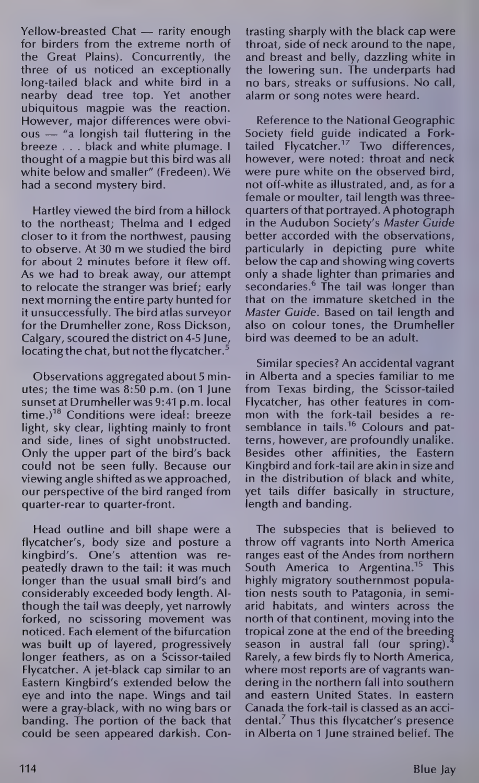Yellow-breasted Chat — rarity enough for birders from the extreme north of the Great Plains). Concurrently, the three of us noticed an exceptionally long-tailed black and white bird in a nearby dead tree top. Yet another ubiquitous magpie was the reaction. However, major differences were obvious — "a longish tail fluttering in the breeze . . . black and white plumage. I thought of a magpie but this bird was all white below and smaller" (Fredeen). Wé had a second mystery bird.

Hartley viewed the bird from a hillock to the northeast; Thelma and I edged closer to it from the northwest, pausing to observe. At 30 m we studied the bird for about 2 minutes before it flew off. As we had to break away, our attempt to relocate the stranger was brief; early next morning the entire party hunted for it unsuccessfully. The bird atlas surveyor for the Drumheller zone, Ross Dickson, Calgary, scoured the district on 4-5 June, locating the chat, but not the flycatcher.<sup>5</sup>

Observations aggregated about 5 minutes; the time was 8:50 p.m. (on 1 June sunset at Drumheller was 9:41 p.m. local time.)<sup>18</sup> Conditions were ideal: breeze light, sky clear, lighting mainly to front and side, lines of sight unobstructed. Only the upper part of the bird's back could not be seen fully. Because our viewing angle shifted as we approached, our perspective of the bird ranged from quarter-rear to quarter-front.

Head outline and bill shape were a flycatcher's, body size and posture a<br>kingbird's. One's attention was repeatedly drawn to the tail: it was much longer than the usual small bird's and considerably exceeded body length. Although the tail was deeply, yet narrowly forked, no scissoring movement was noticed. Each element of the bifurcation was built up of layered, progressively longer feathers, as on a Scissor-tailed Flycatcher. A jet-black cap similar to an Eastern Kingbird's extended below the eye and into the nape. Wings and tail were a gray-black, with no wing bars or banding. The portion of the back that could be seen appeared darkish. Contrasting sharply with the black cap were throat, side of neck around to the nape, and breast and belly, dazzling white in the lowering sun. The underparts had no bars, streaks or suffusions. No call, alarm or song notes were heard.

Reference to the National Geographic Society field guide indicated a Fork-<br>tailed Flycatcher.<sup>17</sup> Two differences, however, were noted: throat and neck were pure white on the observed bird, not off-white as illustrated, and, as fora female or moulter, tail length was threequarters of that portrayed. A photograph in the Audubon Society's Master Guide better accorded with the observations, particularly in depicting pure white below the cap and showing wing coverts only a shade lighter than primaries and secondaries.<sup>6</sup> The tail was longer than that on the immature sketched in the Master Guide. Based on tail length and also on colour tones, the Drumheller bird was deemed to be an adult.

Similar species? An accidental vagrant in Alberta and a species familiar to me from Texas birding, the Scissor-tailed Flycatcher, has other features in common with the fork-tail besides a resemblance in tails.<sup>16</sup> Colours and patterns, however, are profoundly unalike. Besides other affinities, the Eastern Kingbird and fork-tail are akin in size and in the distribution of black and white, yet tails differ basically in structure, length and banding.

The subspecies that is believed to throw off vagrants into North America ranges east of the Andes from northern<br>South America to Argentina.<sup>15</sup> This highly migratory southernmost population nests south to Patagonia, in semiarid habitats, and winters across the north of that continent, moving into the tropical zone at the end of the breeding season in austral fall (our spring). Rarely, a few birds fly to North America, where most reports are of vagrants wandering in the northern fall into southern and eastern United States. In eastern Canada the fork-tail is classed as an accidental." Thus this flycatcher's presence in Alberta on 1 June strained belief. The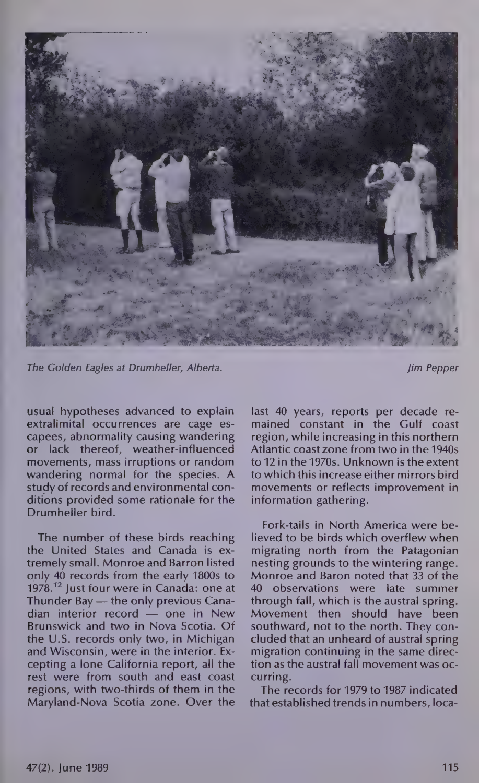

The Golden Eagles at Drumheller, Alberta.

Jim Pepper

usual hypotheses advanced to explain extralimital occurrences are cage escapees, abnormality causing wandering or lack thereof, weather-influenced movements, mass irruptions or random wandering normal for the species. A study of records and environmental conditions provided some rationale for the Drumheller bird.

The number of these birds reaching the United States and Canada is extremely small. Monroe and Barron listed only 40 records from the early 1800s to 1978.<sup>12</sup> Just four were in Canada: one at Thunder Bay — the only previous Canadian interior record — one in New Brunswick and two in Nova Scotia. Of the U.S. records only two, in Michigan and Wisconsin, were in the interior. Excepting a lone California report, all the rest were from south and east coast regions, with two-thirds of them in the Maryland-Nova Scotia zone. Over the last 40 years, reports per decade remained constant in the Gulf coast region, while increasing in this northern Atlantic coast zone from two in the 1940s to 12 in the 1970s. Unknown is the extent to which this increase either mirrors bird movements or reflects improvement in information gathering.

Fork-tails in North America were believed to be birds which overflew when migrating north from the Patagonian nesting grounds to the wintering range. Monroe and Baron noted that 33 of the 40 observations were late summer through fall, which is the austral spring. Movement then should have been southward, not to the north. They concluded that an unheard of austral spring migration continuing in the same direction as the austral fall movement was occurring.

The records for 1979 to 1987 indicated that established trends in numbers, loca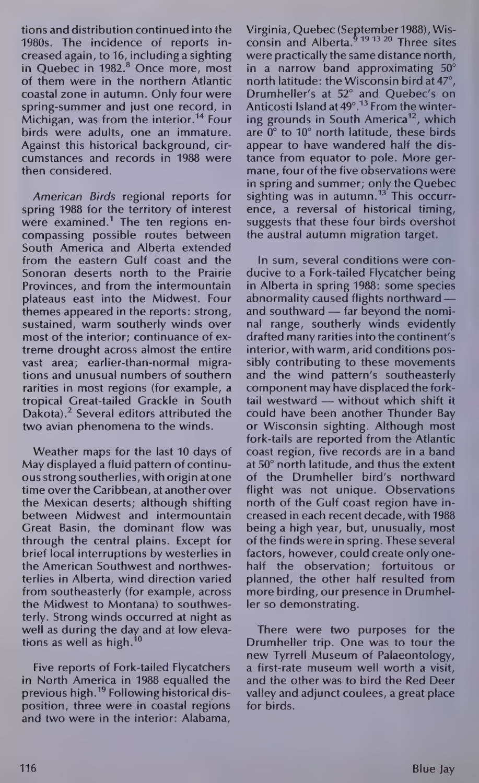tions and distribution continued into the 1980s. The incidence of reports increased again, to 16, including a sighting in Quebec in 1982.<sup>8</sup> Once more, most of them were in the northern Atlantic coastal zone in autumn. Only four were spring-summer and just one record, in Michigan, was from the interior.<sup>14</sup> Four birds were adults, one an immature. Against this historical background, circumstances and records in 1988 were then considered.

American Birds regional reports for spring 1988 for the territory of interest were examined.' The ten regions encompassing possible routes between South America and Alberta extended from the eastern Gulf coast and the Sonoran deserts north to the Prairie Provinces, and from the intermountain plateaus east into the Midwest. Four themes appeared in the reports: strong, sustained, warm southerly winds over most of the interior; continuance of extreme drought across almost the entire vast area; earlier-than-normal migrations and unusual numbers of southern rarities in most regions (for example, a tropical Great-tailed Grackle in South Dakota).<sup>2</sup> Several editors attributed the two avian phenomena to the winds.

Weather maps for the last 10 days of May displayed a fluid pattern of continuous strong southerlies, with origin at one time over the Caribbean, at another over the Mexican deserts; although shifting between Midwest and intermountain Great Basin, the dominant flow was through the central plains. Except for brief local interruptions by westerlies in the American Southwest and northwesterlies in Alberta, wind direction varied from southeasterly (for example, across the Midwest to Montana) to southwesterly. Strong winds occurred at night as well as during the day and at low eleva-<br>tions as well as high.<sup>10</sup>

Five reports of Fork-tailed Flycatchers in North America in 1988 equalled the previous high.<sup>19</sup> Following historical disposition, three were in coastal regions and two were in the interior: Alabama, Virginia, Quebec (September 1988), Wis-<br>consin and Alberta.<sup>9 19 13 20</sup> Three sites were practically the same distance north, in a narrow band approximating 50° north latitude: the Wisconsin bird at 47°, Drumheller's at 52 $^{\circ}$  and Quebec's on Anticosti Island at 49 $^{\circ}$ ,<sup>13</sup> From the wintering grounds in South America<sup>12</sup>, which are  $0^\circ$  to 10 $^\circ$  north latitude, these birds appear to have wandered half the distance from equator to pole. More germane, four of the five observations were in spring and summer; only the Quebec sighting was in autumn.<sup>13'</sup> This occurr ence, a reversal of historical timing, suggests that these four birds overshot the austral autumn migration target.

In sum, several conditions were conducive to a Fork-tailed Flycatcher being in Alberta in spring 1988: some species abnormality caused flights northward and southward — far beyond the nominal range, southerly winds evidently drafted many rarities into the continent's interior, with warm, arid conditions possibly contributing to these movements and the wind pattern's southeasterly component may have displaced the forktail westward — without which shift it could have been another Thunder Bay or Wisconsin sighting. Although most fork-tails are reported from the Atlantic coast region, five records are in a band at 50° north latitude, and thus the extent of the Drumheller bird's northward flight was not unique. Observations north of the Gulf coast region have increased in each recent decade, with 1988 being a high year, but, unusually, most of the finds were in spring. These several factors, however, could create only onehalf the observation; fortuitous or planned, the other half resulted from more birding, our presence in Drumheller so demonstrating.

There were two purposes for the Drumheller trip. One was to tour the new Tyrrell Museum of Palaeontology, a first-rate museum well worth a visit, and the other was to bird the Red Deer valley and adjunct coulees, a great place for birds.